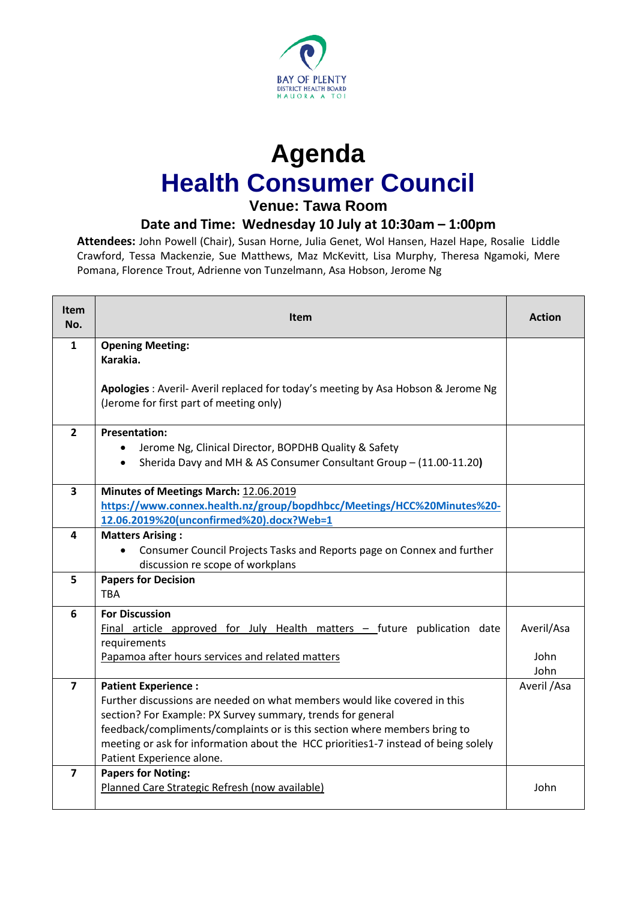

## **Agenda Health Consumer Council**

## **Venue: Tawa Room**

## **Date and Time: Wednesday 10 July at 10:30am – 1:00pm**

**Attendees:** John Powell (Chair), Susan Horne, Julia Genet, Wol Hansen, Hazel Hape, Rosalie Liddle Crawford, Tessa Mackenzie, Sue Matthews, Maz McKevitt, Lisa Murphy, Theresa Ngamoki, Mere Pomana, Florence Trout, Adrienne von Tunzelmann, Asa Hobson, Jerome Ng

| <b>Item</b><br>No. | <b>Item</b>                                                                                                                | <b>Action</b> |
|--------------------|----------------------------------------------------------------------------------------------------------------------------|---------------|
| 1                  | <b>Opening Meeting:</b>                                                                                                    |               |
|                    | Karakia.                                                                                                                   |               |
|                    | Apologies: Averil-Averil replaced for today's meeting by Asa Hobson & Jerome Ng<br>(Jerome for first part of meeting only) |               |
| $\overline{2}$     | <b>Presentation:</b>                                                                                                       |               |
|                    | Jerome Ng, Clinical Director, BOPDHB Quality & Safety                                                                      |               |
|                    | Sherida Davy and MH & AS Consumer Consultant Group - (11.00-11.20)<br>$\bullet$                                            |               |
| 3                  | Minutes of Meetings March: 12.06.2019                                                                                      |               |
|                    | https://www.connex.health.nz/group/bopdhbcc/Meetings/HCC%20Minutes%20-                                                     |               |
|                    | 12.06.2019%20(unconfirmed%20).docx?Web=1                                                                                   |               |
| 4                  | <b>Matters Arising:</b>                                                                                                    |               |
|                    | Consumer Council Projects Tasks and Reports page on Connex and further<br>discussion re scope of workplans                 |               |
| 5                  | <b>Papers for Decision</b>                                                                                                 |               |
|                    | TBA                                                                                                                        |               |
| 6                  | <b>For Discussion</b>                                                                                                      |               |
|                    | <b>Final article approved for July Health matters <math>-</math> future publication date</b>                               | Averil/Asa    |
|                    | requirements                                                                                                               |               |
|                    | Papamoa after hours services and related matters                                                                           | John          |
|                    |                                                                                                                            | John          |
| 7                  | <b>Patient Experience:</b><br>Further discussions are needed on what members would like covered in this                    | Averil / Asa  |
|                    | section? For Example: PX Survey summary, trends for general                                                                |               |
|                    | feedback/compliments/complaints or is this section where members bring to                                                  |               |
|                    | meeting or ask for information about the HCC priorities1-7 instead of being solely                                         |               |
|                    | Patient Experience alone.                                                                                                  |               |
| 7                  | <b>Papers for Noting:</b>                                                                                                  |               |
|                    | Planned Care Strategic Refresh (now available)                                                                             | John          |
|                    |                                                                                                                            |               |